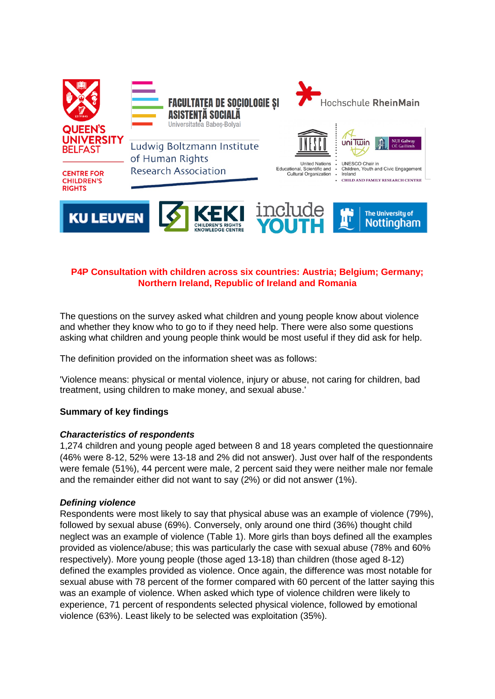

# **P4P Consultation with children across six countries: Austria; Belgium; Germany; Northern Ireland, Republic of Ireland and Romania**

The questions on the survey asked what children and young people know about violence and whether they know who to go to if they need help. There were also some questions asking what children and young people think would be most useful if they did ask for help.

The definition provided on the information sheet was as follows:

'Violence means: physical or mental violence, injury or abuse, not caring for children, bad treatment, using children to make money, and sexual abuse.'

## **Summary of key findings**

## *Characteristics of respondents*

1,274 children and young people aged between 8 and 18 years completed the questionnaire (46% were 8-12, 52% were 13-18 and 2% did not answer). Just over half of the respondents were female (51%), 44 percent were male, 2 percent said they were neither male nor female and the remainder either did not want to say (2%) or did not answer (1%).

## *Defining violence*

Respondents were most likely to say that physical abuse was an example of violence (79%), followed by sexual abuse (69%). Conversely, only around one third (36%) thought child neglect was an example of violence (Table 1). More girls than boys defined all the examples provided as violence/abuse; this was particularly the case with sexual abuse (78% and 60% respectively). More young people (those aged 13-18) than children (those aged 8-12) defined the examples provided as violence. Once again, the difference was most notable for sexual abuse with 78 percent of the former compared with 60 percent of the latter saying this was an example of violence. When asked which type of violence children were likely to experience, 71 percent of respondents selected physical violence, followed by emotional violence (63%). Least likely to be selected was exploitation (35%).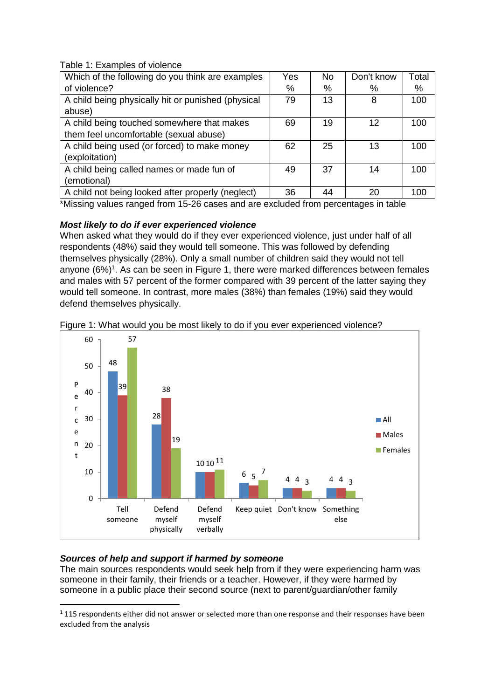Table 1: Examples of violence

| Which of the following do you think are examples   | Yes | No. | Don't know | Total |
|----------------------------------------------------|-----|-----|------------|-------|
| of violence?                                       | %   | %   | %          | %     |
| A child being physically hit or punished (physical | 79  | 13  | 8          | 100   |
| abuse)                                             |     |     |            |       |
| A child being touched somewhere that makes         | 69  | 19  | 12         | 100   |
| them feel uncomfortable (sexual abuse)             |     |     |            |       |
| A child being used (or forced) to make money       | 62  | 25  | 13         | 100   |
| (exploitation)                                     |     |     |            |       |
| A child being called names or made fun of          | 49  | 37  | 14         | 100   |
| (emotional)                                        |     |     |            |       |
| A child not being looked after properly (neglect)  | 36  | 44  | 20         | 100   |

\*Missing values ranged from 15-26 cases and are excluded from percentages in table

# *Most likely to do if ever experienced violence*

When asked what they would do if they ever experienced violence, just under half of all respondents (48%) said they would tell someone. This was followed by defending themselves physically (28%). Only a small number of children said they would not tell anyone  $(6\%)$ <sup>1</sup>. As can be seen in Figure 1, there were marked differences between females and males with 57 percent of the former compared with 39 percent of the latter saying they would tell someone. In contrast, more males (38%) than females (19%) said they would defend themselves physically.





## *Sources of help and support if harmed by someone*

**.** 

The main sources respondents would seek help from if they were experiencing harm was someone in their family, their friends or a teacher. However, if they were harmed by someone in a public place their second source (next to parent/guardian/other family

 $1115$  respondents either did not answer or selected more than one response and their responses have been excluded from the analysis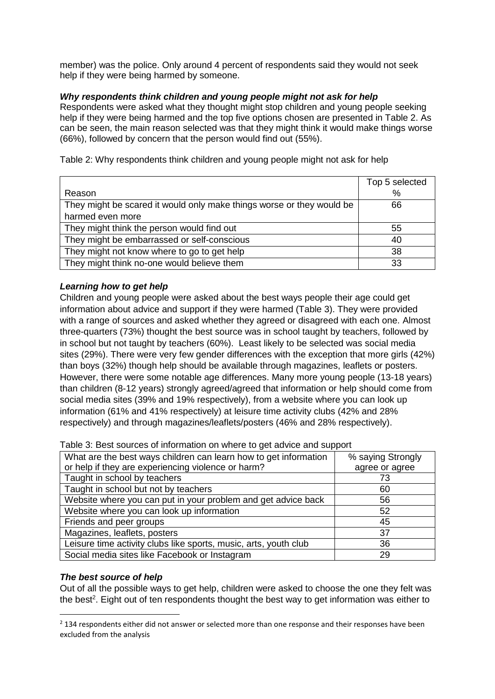member) was the police. Only around 4 percent of respondents said they would not seek help if they were being harmed by someone.

## *Why respondents think children and young people might not ask for help*

Respondents were asked what they thought might stop children and young people seeking help if they were being harmed and the top five options chosen are presented in Table 2. As can be seen, the main reason selected was that they might think it would make things worse (66%), followed by concern that the person would find out (55%).

Reason Top 5 selected % They might be scared it would only make things worse or they would be harmed even more 66 They might think the person would find out  $\sim$  55 They might be embarrassed or self-conscious and the self-construction of the 40 They might not know where to go to get help 38 They might think no-one would believe them  $\sim$  33

Table 2: Why respondents think children and young people might not ask for help

# *Learning how to get help*

Children and young people were asked about the best ways people their age could get information about advice and support if they were harmed (Table 3). They were provided with a range of sources and asked whether they agreed or disagreed with each one. Almost three-quarters (73%) thought the best source was in school taught by teachers, followed by in school but not taught by teachers (60%). Least likely to be selected was social media sites (29%). There were very few gender differences with the exception that more girls (42%) than boys (32%) though help should be available through magazines, leaflets or posters. However, there were some notable age differences. Many more young people (13-18 years) than children (8-12 years) strongly agreed/agreed that information or help should come from social media sites (39% and 19% respectively), from a website where you can look up information (61% and 41% respectively) at leisure time activity clubs (42% and 28% respectively) and through magazines/leaflets/posters (46% and 28% respectively).

| What are the best ways children can learn how to get information | % saying Strongly |  |
|------------------------------------------------------------------|-------------------|--|
| or help if they are experiencing violence or harm?               | agree or agree    |  |
| Taught in school by teachers                                     | 73                |  |
| Taught in school but not by teachers                             | 60                |  |
| Website where you can put in your problem and get advice back    | 56                |  |
| Website where you can look up information                        | 52                |  |
| Friends and peer groups                                          | 45                |  |
| Magazines, leaflets, posters                                     | 37                |  |
| Leisure time activity clubs like sports, music, arts, youth club | 36                |  |
| Social media sites like Facebook or Instagram                    | 29                |  |

Table 3: Best sources of information on where to get advice and support

## *The best source of help*

1

Out of all the possible ways to get help, children were asked to choose the one they felt was the best<sup>2</sup>. Eight out of ten respondents thought the best way to get information was either to

 $2$  134 respondents either did not answer or selected more than one response and their responses have been excluded from the analysis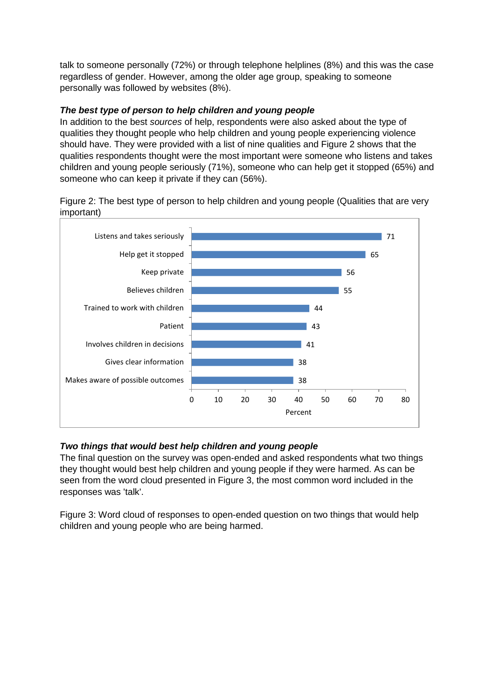talk to someone personally (72%) or through telephone helplines (8%) and this was the case regardless of gender. However, among the older age group, speaking to someone personally was followed by websites (8%).

# *The best type of person to help children and young people*

In addition to the best *sources* of help, respondents were also asked about the type of qualities they thought people who help children and young people experiencing violence should have. They were provided with a list of nine qualities and Figure 2 shows that the qualities respondents thought were the most important were someone who listens and takes children and young people seriously (71%), someone who can help get it stopped (65%) and someone who can keep it private if they can (56%).

Figure 2: The best type of person to help children and young people (Qualities that are very important)



# *Two things that would best help children and young people*

The final question on the survey was open-ended and asked respondents what two things they thought would best help children and young people if they were harmed. As can be seen from the word cloud presented in Figure 3, the most common word included in the responses was 'talk'.

Figure 3: Word cloud of responses to open-ended question on two things that would help children and young people who are being harmed.